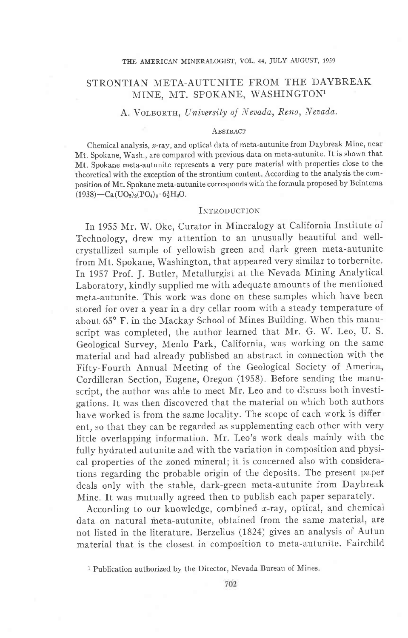# STRONTIAN META-AUTUNITE FROM THE DAYBREAK MINE, MT. SPOKANE, WASHINGTON<sup>1</sup>

# A. VOLBORTH, University of Nevada, Reno, Nevada.

#### ABSTRACT

Chemical analysis, x-ray, and optical data of meta-autunite from Daybreak Mine, near Mt. Spokane, Wash., are compared with previous data on meta-autunite. It is shown that Mt. Spokane meta-autunite represents a very pure material with properties close to the theoretical with the exception of the strontium content According to the analysis the composition of Mt. Spokane meta-autunite corresponds with the formula proposed by Beintema  $(1938)$  - Ca $(UO_2)_2$ (PO<sub>4</sub>)<sub>2</sub> · 6<sup>1</sup><sub>2</sub>H<sub>2</sub>O.

## INTRODUCTION

In 1955 Mr. W. Oke, Curator in Mineralogy at California Institute of Technology, drew my attention to an unusually beautiful and wellcrystallized sample of yellowish green and dark green meta-autunite from Mt. Spokane, Washington, that appeared very similar to torbernite. In 1957 Prof. J. Butler, Metallurgist at the Nevada Mining Analytical Laboratory, kindly supplied me with adequate amounts of the mentioned meta-autunite. This work was done on these samples which have been stored for over a year in a dry cellar room with a steady temperature of about 65° F. in the Mackay School of Mines Building. When this manuscript was completed, the author learned that NIr. G. W. Leo, U. S. Geological Survey, Menlo Park, California, was working on the same material and had already published an abstract in connection with the Fifty-Fourth Annual Meeting of the Geological Society of America, Cordilleran Section, Eugene, Oregon (1958). Before sending the manuscript, the author was able to meet Mr. Leo and to discuss both investigations. It was then discovered that the material on which both authors have worked is from the same locality. The scope of each work is different, so that they can be regarded as supplementing each other with very Iittle overlapping information. Mr. Leo's work deals mainly with the fully hydrated autunite and with the variation in composition and physical properties of the zoned mineral; it is concerned also with considerations regarding the probable origin of the deposits. The present paper deals only with the stable, dark-green meta-autunite from Daybreak Mine. It was mutually agreed then to publish each paper separately.

According to our knowledge, combined  $x$ -ray, optical, and chemical data on natural meta-autunite, obtained from the same material, are not listed in the literature. Berzelius (1824) gives an analysis of Autun material that is the closest in composition to meta-autunite. Fairchild

<sup>&</sup>lt;sup>1</sup> Publication authorized by the Director, Nevada Bureau of Mines.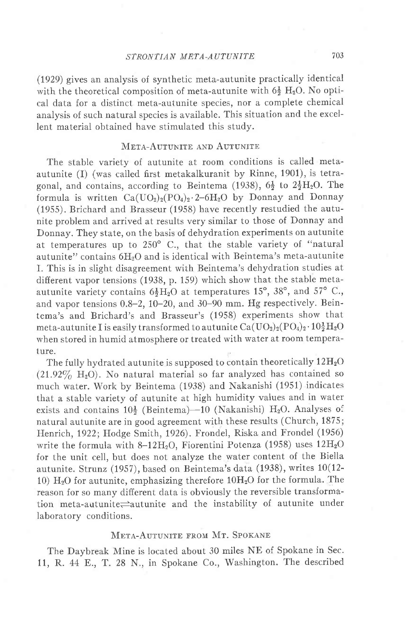(1929) gives an analysis of synthetic meta-autunite practically identical with the theoretical composition of meta-autunite with  $6\frac{1}{2}$  H<sub>2</sub>O. No optical data for a distinct meta-autunite species, nor a complete chemical analysis of such natural species is available. This situation and the excellent materiai obtained have stimulated this study.

### META-AUTUNITE AND AUTUNITE

The stable variety of autunite at room conditions is called metaautunite (I) (was called first metakalkuranit by Rinne, 1901), is tetragonal, and contains, according to Beintema (1938),  $6\frac{1}{2}$  to  $2\frac{1}{2}H_2O$ . The formula is written  $Ca(UO_2)_2(PO_4)_2.2-6H_2O$  by Donnay and Donnay (1955). Brichard and Brasseur (1958) have recently restudied the autunite problem and arrived at results very similar to those of Donnay and Donnay. They state, on the basis of dehydration experiments on autunite at temperatures up to  $250^{\circ}$  C., that the stable variety of "natural autunite" contains 6HzO and is identical with Beintema's meta-autunite I. This is in slight disagreement with Beintema's dehydration studies at difierent vapor tensions (1938, p. 159) which show that the stable metaautunite variety contains  $6\frac{1}{2}H_2O$  at temperatures 15°, 38°, and 57° C., and vapor tensions  $0.8-2$ ,  $10-20$ , and  $30-90$  mm. Hg respectively. Beintema's and Brichard's and Brasseur's (1958) experiments show that meta-autunite I is easily transformed to autunite  $Ca(UO<sub>2</sub>)<sub>2</sub>(PO<sub>4</sub>)<sub>2</sub> \cdot 10<sub>2</sub><sup>1</sup>H<sub>2</sub>O$ when stored in humid atmosphere or treated with water at room temperature.

The fully hydrated autunite is supposed to contain theoretically  $12H<sub>2</sub>O$  $(21.92\% \text{ H}_2\text{O})$ . No natural material so far analyzed has contained so much water. Work by Beintema (1938) and Nakanishi (1951) indicates that a, stabie variety of autunite at high humidity values and in water exists and contains  $10\frac{1}{2}$  (Beintema)-10 (Nakanishi) H<sub>2</sub>O. Analyses of natural autunite are in good agreement with these results (Church, 1875; Henrich, 1922; Hodge Smith, 1926). Frondel, Riska and Frondel (1956) write the formula with 8-12 $H_2O$ , Fiorentini Potenza (1958) uses  $12H_2O$ for the unit cell, but does not analyze the water content of the Biella autunite. Strunz (1957), based on Beintema's data (1938), writes 10(12- 10)  $H<sub>2</sub>O$  for autunite, emphasizing therefore  $10H<sub>2</sub>O$  for the formula. The reason for so many different data is obviously the reversible transformation meta-autunite $\rightleftharpoons$ autunite and the instability of autunite under Iaboratory conditions.

#### META-AUTUNITE FROM MT. SPOKANE

The Daybreak Mine is located about 30 miles NE of Spokane in Sec. 11, R.44 E., T.28 N., in Spokane Co., Washington. The described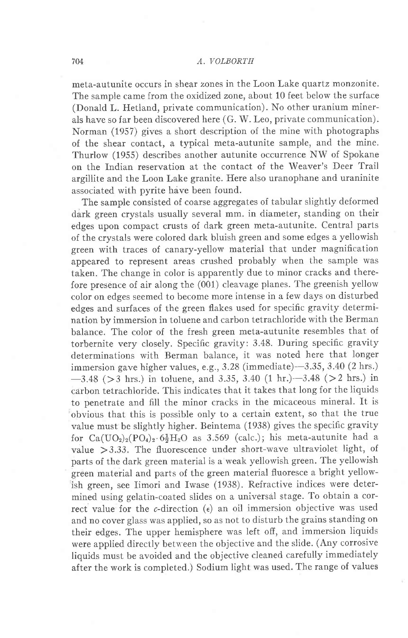### 704 A. VOLBORTH

meta-autunite occurs in shear zones in the Loon Lake quartz monzonite. The sample came from the oxidized zone, about 10 feet below the surface (Donald L. Hetland, private communication). No other uranium minerals have so far been discovered here (G. W. Leo, private communication). Norman (1957) gives a short description of the mine with photographs of the shear contact, a typical meta-autunite sample, and the mine. Thurlow (1955) describes another autunite occurrence NW of Spokane on the Indian reservation at the contact of the Weaver's Deer Trail argillite and the Loon Lake granite. Here also uranophane and uraninite associated with pyrite have been found.

The sample consisted of coarse aggregates of tabular slightly deformed dark green crystals usually several mm. in diameter, standing on their edges upon compact crusts of dark green meta-autunite. Central parts of the crystals were colored dark bluish green and some edges a yellowish green with traces of canary-yellow material that under magnification appeared to represent areas crushed probably when the sample was taken. The change in color is apparently due to minor cracks and therefore presence of air along the (001) cleavage planes. The greenish yellow color on edges seemed to become more intense in a few days on disturbed edges and surfaces of the green flakes used for specific gravity determination by immersion in toluene and carbon tetrachloride with the Berman balance. The color of the fresh green meta-autunite resembles that of torbernite very closely. Specific gravity: 3.48. During specific gravity determinations with Berman balance, it was noted here that longer immersion gave higher values, e.g.,  $3.28$  (immediate) $-3.35$ ,  $3.40$  (2 hrs.)  $-3.48$  ( $>3$  hrs.) in toluene, and 3.35, 3.40 (1 hr.) $-3.48$  ( $>2$  hrs.) in carbon tetrachloride. This indicates that it takes that long for the liquids to penetrate and fill the minor cracks in the micaceous mineral. It is obvious that this is possible only to a certain extent, so that the true value must be slightly higher. Beintema (1938) gives the specific gravity for  $Ca(UO_2)_2(PO_4)_2.6\frac{1}{2}H_2O$  as 3.569 (calc.); his meta-autunite had a value  $>3.33$ . The fluorescence under short-wave ultraviolet light, of parts of the dark green material is a weak yellowish green. The yellowish green material and parts of the green material fluoresce a bright yellowish green, see Iimori and Iwase (1938). Refractive indices were determined using gelatin-coated slides on a universal stage. To obtain a correct value for the  $c$ -direction  $(\epsilon)$  an oil immersion objective was used and no cover glass was applied, so as not to disturb the grains standing on their edges. The upper hemisphere was left off, and immersion liquids were applied directly between the objective and the slide. (Any corrosive liquids must be avoided and the objective cleaned carefully immediately after the work is completed.) Sodium light was used. The range of values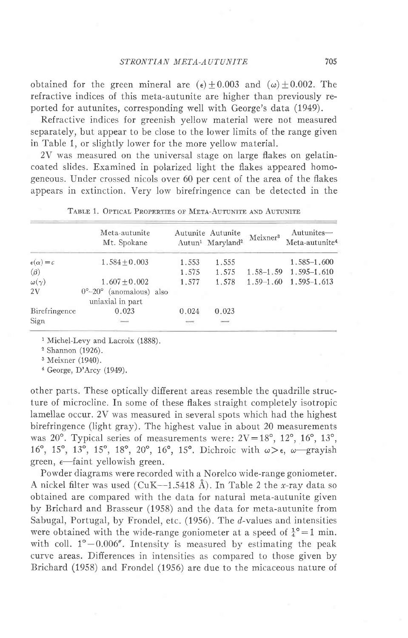obtained for the green mineral are  $(\epsilon) \pm 0.003$  and  $(\omega) \pm 0.002$ . The refractive indices of this meta-autunite are higher than previously reported for autunites, corresponding well with George's data (1949).

Refractive indices for greenish yeliow material were not measured separately, but appear to be close to the lower limits of the range given in Table 1, or slightly lower for the more yellow material.

2V was measured on the universal stage on large flakes on gelatincoated slides. Examined in polarized light the flakes appeared homogeneous. Under crossed nicols over 60 per cent of the area of the flakes appears in extinction. Very low birefringence can be detected in the

|                        | Meta-autunite<br>Mt. Spokane                                       |               | Autunite Autunite<br>Autun <sup>1</sup> Maryland <sup>2</sup> | Meixner <sup>3</sup> | Autunites-<br>Meta-autunite <sup>4</sup> |
|------------------------|--------------------------------------------------------------------|---------------|---------------------------------------------------------------|----------------------|------------------------------------------|
| $\epsilon(\alpha) = c$ | $1.584 + 0.003$                                                    | 1.553         | 1.555                                                         |                      | $1.585 - 1.600$                          |
| $(\beta)$              |                                                                    | 1.575         | 1.575                                                         | $1.58 - 1.59$        | $1.595 - 1.610$                          |
| $\omega(\gamma)$       | $1.607 + 0.002$                                                    | 1.577         | 1.578                                                         | $1.59 - 1.60$        | $1.595 - 1.613$                          |
| 2V                     | (anomalous) also<br>$0^{\circ}$ -20 $^{\circ}$<br>uniaxial in part |               |                                                               |                      |                                          |
| Birefringence          | 0.023                                                              | 0.024         | 0.023                                                         |                      |                                          |
| Sign                   | $\frac{1}{2}$                                                      | $\frac{1}{2}$ | $\overline{\phantom{m}}$                                      |                      |                                          |

|  | TABLE 1. OPTICAL PROPERTIES OF META-AUTUNITE AND AUTUNITE |  |  |  |  |
|--|-----------------------------------------------------------|--|--|--|--|
|--|-----------------------------------------------------------|--|--|--|--|

<sup>1</sup> Michel-Levy and Lacroix (1888).

<sup>2</sup> Shannon (1926).

3 Meixner (1940).

a George, D'Arcy (1949).

other parts. These optically difierent areas resemble the quadrille structure of microcline. In some of these flakes straight completely isotropic lameilae occur. 2V was measured in several spots which had the highest birefringence (light gray). The highest value in about 20 measurements was  $20^{\circ}$ . Typical series of measurements were:  $2V=18^{\circ}$ ,  $12^{\circ}$ ,  $16^{\circ}$ ,  $13^{\circ}$ , 16°, 15°, 13°, 15°, 18°, 20°, 16°, 15°. Dichroic with  $\omega > \epsilon$ ,  $\omega$  grayish green,  $\epsilon$ -faint yellowish green.

Powder diagrams were recorded with a Norelco wide-range goniometer. A nickel filter was used (CuK--1.5418 Å). In Table 2 the x-ray data so obtained are compared with the data for natural meta-autunite given by Brichard and Brasseur (1958) and the data for meta-autunite from Sabugal, Portugal, by Frondel, etc. (1956). The d-values and intensities were obtained with the wide-range goniometer at a speed of  $\frac{1}{4}$ <sup>o</sup>=1 min. with coll.  $1^{\circ}-0.006''$ . Intensity is measured by estimating the peak curve areas. Differences in intensities as compared to those given by Brichard (1958) and Frondel (1956) are due to the micaceous nature of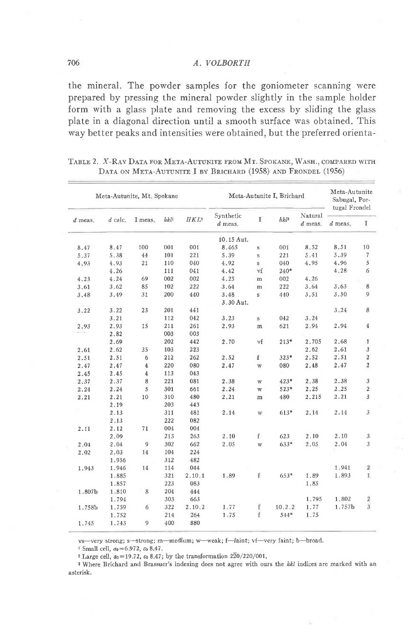#### 706 A, VOLBORTH

the mineral. The powder samples for the goniometer scanning were prepared by pressing the mineral powder slightly in the sample holder form with a glass plate and removing the excess by sliding the glass plate in a diagonal direction until a smooth surface was obtained. This way better peaks and intensities were obtained, but the preferred orienta-

| Meta-Autunite, Mt. Spokane |           | Meta-Autunite I, Brichard |     |            |                        | Meta-Autunite<br>Sabugal, Por-<br>tugal Frondel |         |                      |           |                     |
|----------------------------|-----------|---------------------------|-----|------------|------------------------|-------------------------------------------------|---------|----------------------|-----------|---------------------|
| $d$ meas.                  | $d$ calc. | I meas.                   | hhl | $HKL^2$    | Synthetic<br>$d$ meas. | $\mathbf{I}$                                    | $hkl^3$ | Natural<br>$d$ meas. | $d$ meas. | I                   |
|                            |           |                           |     |            | 10.15 Aut.             |                                                 |         |                      |           |                     |
| 8.47                       | 8.47      | 100                       | 001 | 001        | 8.465                  | S                                               | 001     | 8.52                 | 8.51      | 10                  |
| 5.37                       | 5.38      | 44                        | 101 | 221        | 5.39                   | S                                               | 221     | 5.41                 | 5.39      | $\scriptstyle\rm 7$ |
| 4.93                       | 4.93      | 21                        | 110 | 040        | 4.92                   | S                                               | 040     | 4.95                 | 4.96      | 5                   |
|                            | 4.26      |                           | 111 | 041        | 4.42                   | vf                                              | $240*$  |                      | 4.28      | 6                   |
| 4.23                       | 4.24      | 69                        | 002 | 002        | 4.25                   | m                                               | 002     | 4.26                 |           |                     |
| 3.61                       | 3.62      | 85                        | 102 | 222        | 3.64                   | m                                               | 222     | 3.64                 | 3.63      | 8                   |
| 3.48                       | 3,49      | 31                        | 200 | 440        | 3.48                   | s                                               | 440     | 3.51                 | 3.50      | 9                   |
|                            |           |                           |     |            | 3.30 Aut.              |                                                 |         |                      |           |                     |
| 3.22                       | 3.22      | 23                        | 201 | 441        |                        |                                                 |         |                      | 3.24      | 8                   |
|                            | 3.21      |                           | 112 | 042        | 3.23                   | s                                               | 042     | 3:24                 |           |                     |
| 2.93                       | 2.93      | 15                        | 211 | 261        | 2.93                   | m                                               | 621     | 2.94                 | 2.94      | 4                   |
|                            | 2.82      |                           | 003 | 003        |                        |                                                 |         |                      |           |                     |
|                            | 2.69      |                           | 202 | 442        | 2.70                   | vf                                              | $213*$  | 2.705                | 2.68      | $\overline{1}$      |
| 2.61                       | 2.62      | 35                        | 103 | 223        |                        |                                                 |         | 2.62                 | 2.61      | $\mathbf{3}$        |
| 2.51                       | 2.51      | 6                         | 212 | 262        | 2.52                   | f                                               | $323*$  | 2.52                 | 2.51      | $\sqrt{2}$          |
| 2.47                       | 2.47      | 4                         | 220 | 080        | 2.47                   | W                                               | 080     | 2.48                 | 2.47      | $\sqrt{2}$          |
| 2.45                       | 2.45      | $\overline{4}$            | 113 | 043        |                        |                                                 |         |                      |           |                     |
| 2.37                       | 2.37      | 8                         | 221 | 081        | 2.38                   |                                                 | $423*$  | 2.38                 | 2.38      | $\mathbf{3}$        |
|                            | 2.24      | 5                         | 301 |            | 2.24                   | W                                               |         | 2.25                 | 2, 25     | $\sqrt{2}$          |
| 2.24                       | 2.21      | 10                        | 310 | 661<br>480 | 2,21                   | w                                               | 523*    | 2.215                | 2.21      | 3                   |
| 2.21                       |           |                           |     |            |                        | m                                               | 480     |                      |           |                     |
|                            | 2.19      |                           | 203 | 443        |                        |                                                 |         |                      |           |                     |
|                            | 2.13      |                           | 311 | 481        | 2.14                   | Ŵ                                               | $613*$  | 2.14                 | 2.14      | $\overline{3}$      |
|                            | 2:13      |                           | 222 | 082        |                        |                                                 |         |                      |           |                     |
| 2.11                       | 2.12      | 71                        | 004 | 004        |                        |                                                 |         |                      |           |                     |
|                            | 2.09      |                           | 213 | 263        | 2.10                   | f                                               | 623     | 2.10                 | 2.10      | $\mathfrak{z}$      |
| 2.04                       | 2.04      | 9                         | 302 | 662        | 2.05                   | W                                               | $633*$  | 2,05                 | 2.04      | 3                   |
| 2.02                       | 2.03      | 14                        | 104 | 224        |                        |                                                 |         |                      |           |                     |
|                            | 1.956     |                           | 312 | 482        |                        |                                                 |         |                      |           |                     |
| 1.943                      | 1.946     | 14                        | 114 | 044        |                        |                                                 |         |                      | 1.941     | $\boldsymbol{2}$    |
|                            | 1.885     |                           | 321 | 2.10.1     | 1.89                   | £                                               | 653*    | 1.89                 | 1.893     | $\mathbf{I}$        |
|                            | 1.857     |                           | 223 | 083        |                        |                                                 |         | 1.85                 |           |                     |
| 1.807b                     | 1,810     | 8                         | 204 | 444        |                        |                                                 |         |                      |           |                     |
|                            | 1.794     |                           | 303 | 663        |                        |                                                 |         | 1.795                | 1.802     | $\frac{2}{3}$       |
| 1.758b                     | 1.759     | 6                         | 322 | 2.10.2     | 1.77                   | ť                                               | 10.2.2  | 1.77                 | 1.757b    |                     |
|                            | 1.752     |                           | 214 | 264        | 1.75                   | f                                               | $544*$  | 1.75                 |           |                     |
| 1.745                      | 1.743     | 9                         | 400 | 880        |                        |                                                 |         |                      |           |                     |

| TABLE 2. X-RAY DATA FOR META-AUTUNITE FROM MT. SPOKANE, WASH., COMPARED WITH |  |
|------------------------------------------------------------------------------|--|
| DATA ON META-AUTUNITE I BY BRICHARD (1958) AND FRONDEL (1956)                |  |

vs-very strong; s-strong; m-medium; w-weak; f-faint; vf-very faint; b-broad.

<sup>1</sup> Small cell,  $a_0 = 6.972$ ,  $c_0$  8.47.

 $^2$  Large cell,  $a_0\!=\!19.72, \,c_0$  8.47; by the transformation 220/220/001.

<sup>3</sup> Where Brichard and Brassuer's indexing does not agree with ours the *kkl* indices are marked with an asterisk.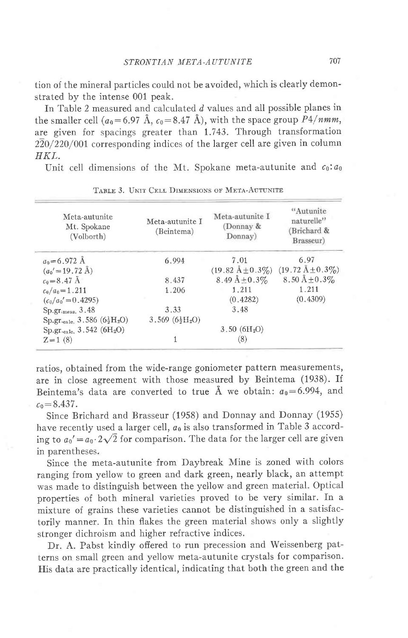tion of the mineral particles could not be avoided, which is clearly demonstrated by the intense 001 peak.

In Table 2 measured and calculated d values and all possible planes in the smaller cell ( $a_0$ =6.97 Å,  $c_0$ =8.47 Å), with the space group P4/nmm, are given for spacings greater than 1.743. Through transformation 220/22O/001 corresponding indices of the larger cell are given in column HKL.

Unit cell dimensions of the Mt. Spokane meta-autunite and  $c_0$ :  $a_0$ 

| Meta-autunite<br>Mt. Spokane<br>(Volborth) | Meta-autunite I<br>(Beintema) | Meta-autunite I<br>(Donnay &<br>Donnay) | "Autunite<br>naturelle"<br>(Brichard &<br>Brasseur) |
|--------------------------------------------|-------------------------------|-----------------------------------------|-----------------------------------------------------|
| $a_0 = 6.972 \text{ Å}$                    | 6.994                         | 7.01                                    | 6.97                                                |
| $(a_0' = 19.72 \text{ Å})$                 |                               | $(19.82 \text{ Å} \pm 0.3\%)$           | $(19.72 \text{ Å} \pm 0.3\%)$                       |
| $c_0 = 8.47 \text{ Å}$                     | 8.437                         | 8.49 $\AA \pm 0.3\%$                    | 8.50 Å $\pm$ 0.3%                                   |
| $c_0/a_0 = 1.211$                          | 1.206                         | 1.211                                   | 1.211                                               |
| $(c_0/a_0' = 0.4295)$                      |                               | (0.4282)                                | (0, 4309)                                           |
| $Sp.gr_{\text{imes}}, 3.48$                | 3.33                          | 3.48                                    |                                                     |
| $Sp.gr._{calc.} 3.586 (621H2O)$            | $3.569~(6\frac{1}{2}H_2O)$    |                                         |                                                     |
| $Sp.gr._{calc.} 3.542 (6H2O)$              |                               | 3.50~(6H <sub>2</sub> O)                |                                                     |
| $Z=1(8)$                                   |                               | (8)                                     |                                                     |

TABLE 3. UNIT CELL DIMENSIONS OF META-AUTUNITE

ratios, obtained from the wide-range goniometer pattern measurements, are in close agreement with those measured by Beintema (1938). If Beintema's data are converted to true Å we obtain:  $a_0 = 6.994$ , and  $c_0$  = 8.437.

Since Brichard and Brasseur (1958) and Donnay and Donnay (1955) have recently used a larger cell,  $a_0$  is also transformed in Table 3 according to  $a_0' = a_0 \cdot 2\sqrt{2}$  for comparison. The data for the larger cell are given in parentheses.

Since the meta-autunite from Daybreak Mine is zoned with colors ranging from yeilow to green and dark green, nearly black, an attempt was made to distinguish between the yellow and green material. Optical properties of both mineral varieties proved to be very similar. In a mixture of grains these varieties cannot be distinguished in a satisfactorily manner. In thin flakes the green material shows only a slightly stronger dichroism and higher refractive indices.

Dr. A. Pabst kindly offered to run precession and Weissenberg patterns on small green and yellow meta-autunite crystals for comparison. His data are practically identical, indicating that both the green and the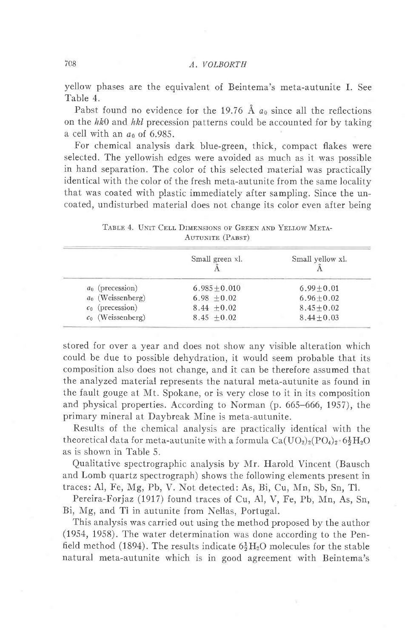# 708 A, VOLBORTH

yellow phases are the equivalent of Beintema's meta-autunite I. See Table 4.

Pabst found no evidence for the 19.76 Å  $a_0$  since all the reflections on the  $hk0$  and  $hkl$  precession patterns could be accounted for by taking a cell with an  $a_0$  of 6.985.

For chemical analysis dark blue-green, thick, compact flakes were selected. The yellowish edges were avoided as much as it was possible in hand separation. The color of this selected material was practically identical with the color of the fresh meta-autunite from the same locality that was coated with plastic immediately after sampling. Since the uncoated, undisturbed material does not change its color even after being

|                     | Small green xl. | Small yellow xl. |
|---------------------|-----------------|------------------|
| $a_0$ (precession)  | $6.985 + 0.010$ | $6.99 + 0.01$    |
| $a_0$ (Weissenberg) | $6.98 + 0.02$   | $6.96 \pm 0.02$  |
| $c_0$ (precession)  | $8.44 + 0.02$   | $8.45 + 0.02$    |
| $c_0$ (Weissenberg) | $8.45 + 0.02$   | $8.44 + 0.03$    |

TABLE 4. UNIT CELL DIMENSIONS OF GREEN AND YELLOW META-AUTUNITE (PABST)

stored for over a year and does not show any visible alteration which could be due to possible dehydration, it would seem probable that its composition also does not change, and it can be therefore assumed that the analyzed material represents the natural meta-autunite as found in the fault gouge at N{t. Spokane, or is very close to it in its composition and physical properties. According to Norman (p. 665-666, 1957), the primary mineral at Daybreak Mine is meta-autunite.

Results of the chemical analysis are practically identical with the theoretical data for meta-autunite with a formula  $Ca(UO<sub>2</sub>)<sub>2</sub>(PO<sub>4</sub>)<sub>2</sub>·6\frac{1}{2}H<sub>2</sub>O$ as is shown in Table 5.

Qualitative spectrographic analysis by Mr. Harold Vincent (Bausch and Lomb quartz spectrograph) shows the following elements present in traces: Al, Fe, Mg, Pb, V. Not detected: As, Bi, Cu, Mn, Sb, Sn, Tl.

Pereira-Forjaz (1917) found traces of Cu, Al, V, Fe, Pb, Mn, As, Sn, Bi, Mg, and Tl in autunite from Nellas, Portugal.

This analysis was carried out using the method proposed by the author (1954, 1958). The water determination was done according to the Penfield method (1894). The results indicate  $6\frac{1}{2}H_2O$  molecules for the stable natural meta-autunite which is in good agreement with Beintema's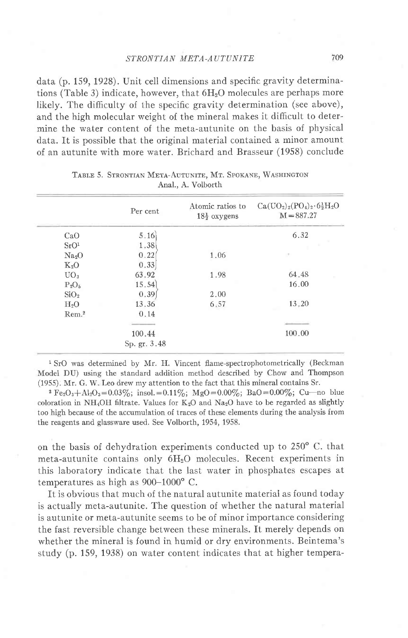#### STRONTIAN META-AUTUNITE

data (p. 159, 1928). Unit cell dimensions and specific gravity determinations (Table 3) indicate, however, that  $6H<sub>2</sub>O$  molecules are perhaps more likely. The difficulty of the specific gravity determination (see above), and the high molecular weight of the mineral makes it difficult to determine the water content of the meta-autunite on the basis of physical data. It is possible that the original material contained a minor amount of an autunite with more water. Brichard and Brasseur (1958) conclude

|                   | Per cent     | Atomic ratios to<br>$18\frac{1}{2}$ oxygens | $Ca(UO_2)_2(PO_4)_2.6\frac{1}{2}H_2O$<br>$M = 887.27$ |
|-------------------|--------------|---------------------------------------------|-------------------------------------------------------|
| CaO               | 5.16         |                                             | 6.32                                                  |
| SrO <sup>1</sup>  | 1.38         |                                             |                                                       |
| Na <sub>2</sub> O | 0.22         | 1.06                                        | ×                                                     |
| $K_2O$            | 0.33         |                                             |                                                       |
| UO <sub>3</sub>   | 63.92        | 1.98                                        | 64.48                                                 |
| $P_2O_5$          | 15.54        |                                             | 16.00                                                 |
| SiO <sub>2</sub>  | 0.39         | 2.00                                        |                                                       |
| $H_2O$            | 13.36        | 6.57                                        | 13.20                                                 |
| Rem. <sup>2</sup> | 0.14         |                                             |                                                       |
|                   |              |                                             |                                                       |
|                   | 100.44       |                                             | 100.00                                                |
|                   | Sp. gr. 3.48 |                                             |                                                       |

|  |                    |  | TABLE 5. STRONTIAN META-AUTUNITE, MT. SPOKANE, WASHINGTON |
|--|--------------------|--|-----------------------------------------------------------|
|  | Anal., A. Volborth |  |                                                           |

<sup>1</sup> SrO was determined by Mr. H. Vincent flame-spectrophotometrically (Beckman Model DU) using the standard addition method described by Chow and Thompson (1955). Mr. G. W Leo drew my attention to the fact that this mineral contains Sr.

<sup>2</sup> Fe<sub>2</sub>O<sub>3</sub>+Al<sub>2</sub>O<sub>3</sub>=0.03%; insol. = 0.11%; MgO=0.00%; BaO=0.00%; Cu-no blue coloration in NH<sub>4</sub>OH filtrate. Values for  $K_2O$  and  $Na_2O$  have to be regarded as slightly too high because of the accumulation of traces of these elements during the analysis from the reagents and glassware used. See Volborth, 1954, 1958.

on the basis of dehydration experiments conducted up to  $250^{\circ}$  C. that meta-autunite contains only 6HzO molecules. Recent experiments in this laboratory indicate that the last water in phosphates escapes at temperatures as high as 900-1000' C.

It is obvious that much of the natural autunite material as found today is actually meta-autunite. The question of whether the natural material is autunite or meta-autunite seems to be of minor importance considering the fast reversible change between these minerals. It merely depends on whether the mineral is found in humid or dry environments. Beintema's study (p. 159, 1938) on water content indicates that at higher tempera-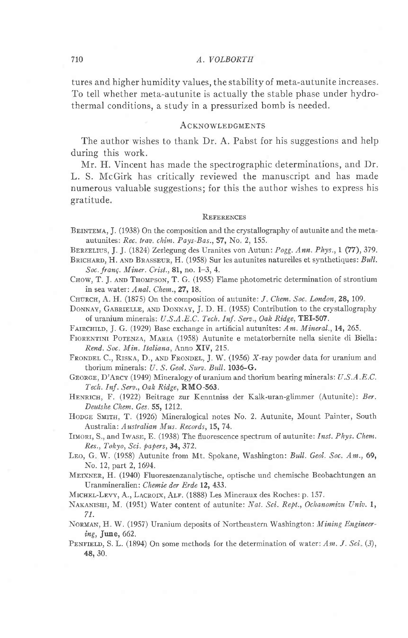#### 7r0 A, VOLBORTH

tures and higher humidity values, the stability of meta-autunite increases. To teil whether meta-autunite is actually the stable phase under hydrothermal conditions, a study in a pressurized bomb is needed.

#### **ACKNOWLEDGMENTS**

The author wishes to thank Dr. A. Pabst for his suggestions and help during this work.

Mr. H. Vincent has made the spectrographic determinations, and Dr. L. S. McGirk has critically reviewed the manuscript and has made numerous valuable suggestions; for this the author wishes to express his gratitude.

#### REFERENCES

- BEINTEMA, J. (1938) On the composition and the crystallography of autunite and the metaautunites: Rec. trau. chim. Pays-Bas., 57, No, 2, 155.
- BERZELIUS, J. J. (1824) Zerlegung des Uranites von Autun: Pogg. Ann. Phys., 1 (77), 379.
- BRICHARD, H. AND BRASSEUR, H. (1958) Sur les autunites naturelles et synthetiques:  $Bull$ . Soc. franç. Miner. Crist., 81, no. 1-3, 4.
- CHOW, T. J. AND THOMPSON, T. G. (1955) Flame photometric determination of strontium in sea water: Anal. Chem., 27, 18.
- CHURCH, A. H. (1875) On the composition of autunite:  $J$ . Chem. Soc. London, 28, 109.
- DONNAY, GABRIELLE, AND DONNAY, J. D. H. (1955) Contribution to the crystallography of uranium minerals: U.S.A.E.C. Tech. Inf. Serv., Oak Ridge, TEI-507.
- FAIRCHILD, J. G. (1929) Base exchange in artificial autunites: Am. Mineral., 14, 265.
- FIORENTINI POTENZA, MARIA (1958) Autunite e metatorbernite nella sienite di Biella: Rend. Soc. Min. Italiana. Anno XIV. 215.
- FRONDEL C., RISKA, D., AND FRONDEL, J. W. (1956) X-ray powder data for uranium and thorium minerals: U. S. Geol. Surv. Bull. 1036-G.
- GEORGE, D'ARCY (1949) Mineralogy of uranium and thorium bearing minerals: U.S.A.E.C. Tech. Inf. Serv., Oak Ridge, RMO-563.
- HENRICH, F. (1922) Beitrage zur Kenntniss der Kalk-uran-glimmer (Autunite): Ber. Deutshe Chem. Ges. 55, 1212.
- HODGE SMITH, T. (1926) Mineralogical notes No. 2. Autunite, Mount Painter, South Australia: Australian Mus. Records, 15, 74.
- IIMORI, S., and IWASE, E. (1938) The fluorescence spectrum of autunite: Inst. Phys. Chem. Res., Tokyo, Sci. papers, 34, 372.
- LEO, G. W. (1958) Autunite from Mt. Spokane, Washington: Bull. Geol. Soc. Am., 69, No. 12, part 2, 1694.
- MEIXNER, H. (1940) Fluoreszenzanalytische, optische und chemische Beobachtungen an Uranmineralien: Chemie der Erde 12, 433.

MICHEL-LEVY, A., LACROIX, ALF. (1888) Les Mineraux des Roches: p. 157.

- NAKANISHI, M. (1951) Water content of autunite: Nat. Sci. Rept., Ochanomizu Univ. 1, 71.
- NORMAN, H. W. (1957) Uranium deposits of Northeastern Washington: Mining Engineer $ing, June, 662.$
- PENFIELD, S. L. (1894) On some methods for the determination of water:  $Am. J. Sci. (3)$ , 48, 30.